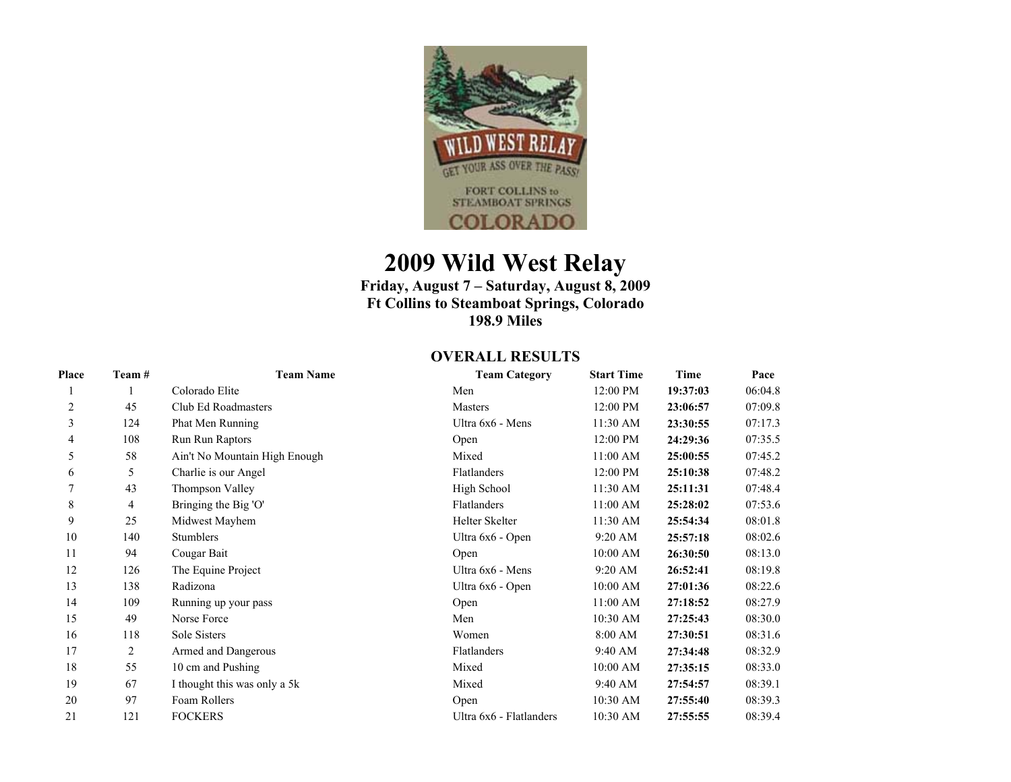

## **2009 Wild West Relay**

**Friday, August 7 – Saturday, August 8, 2009 Ft Collins to Steamboat Springs, Colorado 198.9 Miles** 

## **OVERALL RESULTS**

| Place | Team # | <b>Team Name</b>              | <b>Team Category</b>    | <b>Start Time</b> | Time     | Pace    |
|-------|--------|-------------------------------|-------------------------|-------------------|----------|---------|
|       |        | Colorado Elite                | Men                     | 12:00 PM          | 19:37:03 | 06:04.8 |
| 2     | 45     | Club Ed Roadmasters           | Masters                 | 12:00 PM          | 23:06:57 | 07:09.8 |
| 3     | 124    | Phat Men Running              | Ultra 6x6 - Mens        | 11:30 AM          | 23:30:55 | 07:17.3 |
| 4     | 108    | Run Run Raptors               | Open                    | 12:00 PM          | 24:29:36 | 07:35.5 |
| 5     | 58     | Ain't No Mountain High Enough | Mixed                   | 11:00 AM          | 25:00:55 | 07:45.2 |
| 6     | 5      | Charlie is our Angel          | Flatlanders             | 12:00 PM          | 25:10:38 | 07:48.2 |
|       | 43     | Thompson Valley               | High School             | $11:30$ AM        | 25:11:31 | 07:48.4 |
| 8     | 4      | Bringing the Big 'O'          | Flatlanders             | 11:00 AM          | 25:28:02 | 07:53.6 |
| 9     | 25     | Midwest Mayhem                | Helter Skelter          | 11:30 AM          | 25:54:34 | 08:01.8 |
| 10    | 140    | <b>Stumblers</b>              | Ultra 6x6 - Open        | 9:20 AM           | 25:57:18 | 08:02.6 |
| 11    | 94     | Cougar Bait                   | Open                    | 10:00 AM          | 26:30:50 | 08:13.0 |
| 12    | 126    | The Equine Project            | Ultra 6x6 - Mens        | $9:20$ AM         | 26:52:41 | 08:19.8 |
| 13    | 138    | Radizona                      | Ultra 6x6 - Open        | 10:00 AM          | 27:01:36 | 08:22.6 |
| 14    | 109    | Running up your pass          | Open                    | 11:00 AM          | 27:18:52 | 08:27.9 |
| 15    | 49     | Norse Force                   | Men                     | 10:30 AM          | 27:25:43 | 08:30.0 |
| 16    | 118    | Sole Sisters                  | Women                   | 8:00 AM           | 27:30:51 | 08:31.6 |
| 17    | 2      | Armed and Dangerous           | Flatlanders             | 9:40 AM           | 27:34:48 | 08:32.9 |
| 18    | 55     | 10 cm and Pushing             | Mixed                   | 10:00 AM          | 27:35:15 | 08:33.0 |
| 19    | 67     | I thought this was only a 5k  | Mixed                   | 9:40 AM           | 27:54:57 | 08:39.1 |
| 20    | 97     | Foam Rollers                  | Open                    | 10:30 AM          | 27:55:40 | 08:39.3 |
| 21    | 121    | <b>FOCKERS</b>                | Ultra 6x6 - Flatlanders | 10:30 AM          | 27:55:55 | 08:39.4 |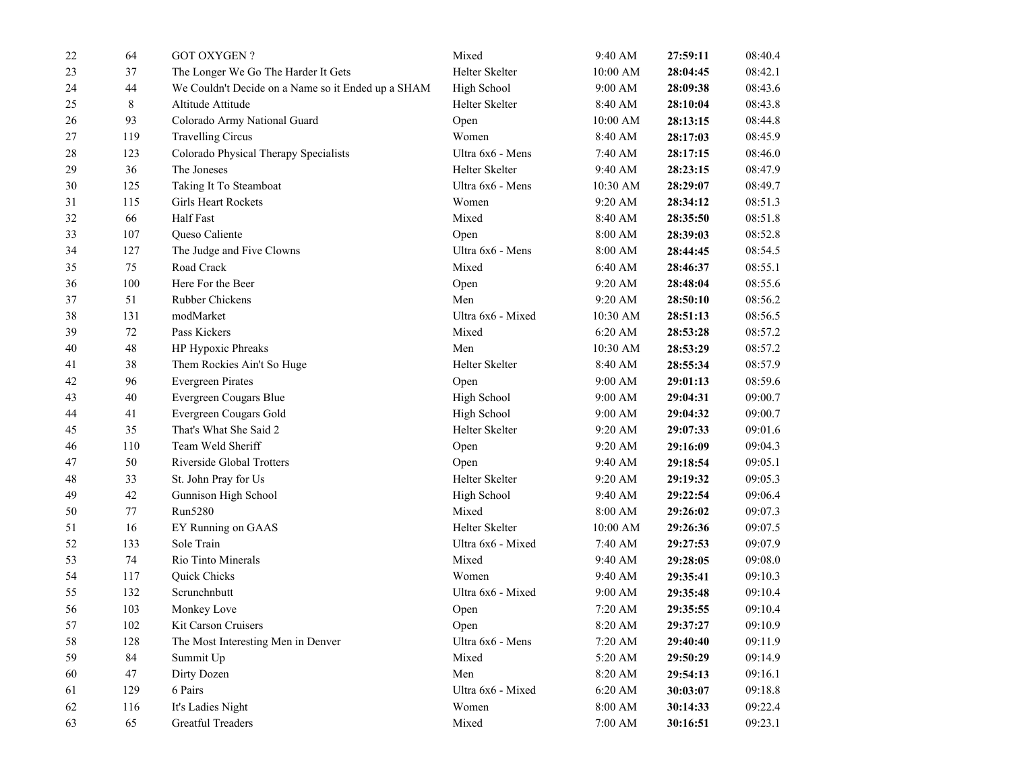| $22\,$ | 64    | <b>GOT OXYGEN?</b>                                 | Mixed             | 9:40 AM            | 27:59:11 | 08:40.4 |
|--------|-------|----------------------------------------------------|-------------------|--------------------|----------|---------|
| 23     | 37    | The Longer We Go The Harder It Gets                | Helter Skelter    | 10:00 AM           | 28:04:45 | 08:42.1 |
| 24     | 44    | We Couldn't Decide on a Name so it Ended up a SHAM | High School       | 9:00 AM            | 28:09:38 | 08:43.6 |
| 25     | $8\,$ | Altitude Attitude                                  | Helter Skelter    | 8:40 AM            | 28:10:04 | 08:43.8 |
| 26     | 93    | Colorado Army National Guard                       | Open              | 10:00 AM           | 28:13:15 | 08:44.8 |
| $27\,$ | 119   | <b>Travelling Circus</b>                           | Women             | 8:40 AM            | 28:17:03 | 08:45.9 |
| 28     | 123   | Colorado Physical Therapy Specialists              | Ultra 6x6 - Mens  | 7:40 AM            | 28:17:15 | 08:46.0 |
| 29     | 36    | The Joneses                                        | Helter Skelter    | 9:40 AM            | 28:23:15 | 08:47.9 |
| 30     | 125   | Taking It To Steamboat                             | Ultra 6x6 - Mens  | 10:30 AM           | 28:29:07 | 08:49.7 |
| 31     | 115   | Girls Heart Rockets                                | Women             | 9:20 AM            | 28:34:12 | 08:51.3 |
| 32     | 66    | Half Fast                                          | Mixed             | 8:40 AM            | 28:35:50 | 08:51.8 |
| 33     | 107   | Queso Caliente                                     | Open              | 8:00 AM            | 28:39:03 | 08:52.8 |
| 34     | 127   | The Judge and Five Clowns                          | Ultra 6x6 - Mens  | 8:00 AM            | 28:44:45 | 08:54.5 |
| 35     | 75    | Road Crack                                         | Mixed             | 6:40 AM            | 28:46:37 | 08:55.1 |
| 36     | 100   | Here For the Beer                                  | Open              | 9:20 AM            | 28:48:04 | 08:55.6 |
| 37     | 51    | Rubber Chickens                                    | Men               | 9:20 AM            | 28:50:10 | 08:56.2 |
| 38     | 131   | modMarket                                          | Ultra 6x6 - Mixed | 10:30 AM           | 28:51:13 | 08:56.5 |
| 39     | 72    | Pass Kickers                                       | Mixed             | $6:20$ AM          | 28:53:28 | 08:57.2 |
| 40     | 48    | HP Hypoxic Phreaks                                 | Men               | 10:30 AM           | 28:53:29 | 08:57.2 |
| 41     | 38    | Them Rockies Ain't So Huge                         | Helter Skelter    | 8:40 AM            | 28:55:34 | 08:57.9 |
| 42     | 96    | <b>Evergreen Pirates</b>                           | Open              | 9:00 AM            | 29:01:13 | 08:59.6 |
| 43     | 40    | Evergreen Cougars Blue                             | High School       | 9:00 AM            | 29:04:31 | 09:00.7 |
| 44     | 41    | Evergreen Cougars Gold                             | High School       | 9:00 AM            | 29:04:32 | 09:00.7 |
| 45     | 35    | That's What She Said 2                             | Helter Skelter    | 9:20 AM            | 29:07:33 | 09:01.6 |
| 46     | 110   | Team Weld Sheriff                                  | Open              | 9:20 AM            | 29:16:09 | 09:04.3 |
| 47     | 50    | Riverside Global Trotters                          | Open              | 9:40 AM            | 29:18:54 | 09:05.1 |
| 48     | 33    | St. John Pray for Us                               | Helter Skelter    | 9:20 AM            | 29:19:32 | 09:05.3 |
| 49     | 42    | Gunnison High School                               | High School       | 9:40 AM            | 29:22:54 | 09:06.4 |
| 50     | 77    | Run5280                                            | Mixed             | 8:00 AM            | 29:26:02 | 09:07.3 |
| 51     | 16    | EY Running on GAAS                                 | Helter Skelter    | 10:00 AM           | 29:26:36 | 09:07.5 |
| 52     | 133   | Sole Train                                         | Ultra 6x6 - Mixed | 7:40 AM            | 29:27:53 | 09:07.9 |
| 53     | 74    | <b>Rio Tinto Minerals</b>                          | Mixed             | 9:40 AM            | 29:28:05 | 09:08.0 |
| 54     | 117   | Quick Chicks                                       | Women             | 9:40 AM            | 29:35:41 | 09:10.3 |
| 55     | 132   | Scrunchnbutt                                       | Ultra 6x6 - Mixed | 9:00 AM            | 29:35:48 | 09:10.4 |
| 56     | 103   | Monkey Love                                        | Open              | 7:20 AM            | 29:35:55 | 09:10.4 |
| 57     | 102   | Kit Carson Cruisers                                | Open              | 8:20 AM            | 29:37:27 | 09:10.9 |
| 58     | 128   | The Most Interesting Men in Denver                 | Ultra 6x6 - Mens  | 7:20 AM            | 29:40:40 | 09:11.9 |
| 59     | 84    | Summit Up                                          | Mixed             | 5:20 AM            | 29:50:29 | 09:14.9 |
| 60     | 47    | Dirty Dozen                                        | Men               | 8:20 AM            | 29:54:13 | 09:16.1 |
| 61     | 129   | 6 Pairs                                            | Ultra 6x6 - Mixed | 6:20 AM            | 30:03:07 | 09:18.8 |
| 62     | 116   | It's Ladies Night                                  | Women             | $8:00~\mathrm{AM}$ | 30:14:33 | 09:22.4 |
| 63     | 65    | <b>Greatful Treaders</b>                           | Mixed             | $7:00~\mathrm{AM}$ | 30:16:51 | 09:23.1 |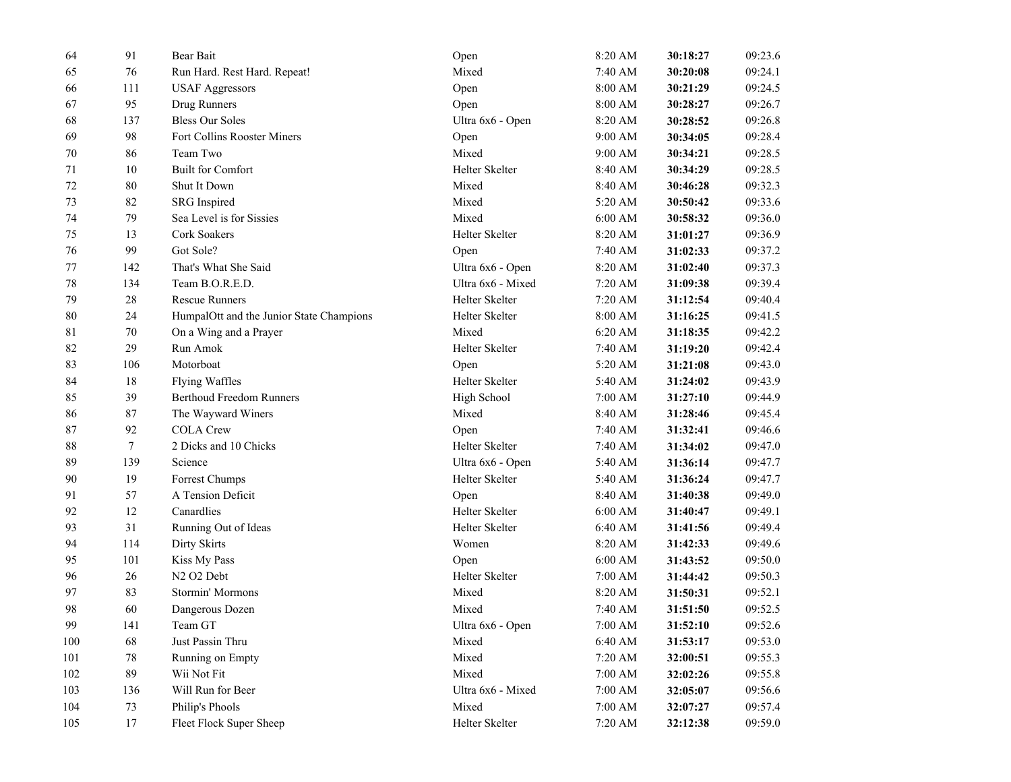| 64       | 91               | Bear Bait                                | Open              | 8:20 AM            | 30:18:27 | 09:23.6 |
|----------|------------------|------------------------------------------|-------------------|--------------------|----------|---------|
| 65       | 76               | Run Hard. Rest Hard. Repeat!             | Mixed             | 7:40 AM            | 30:20:08 | 09:24.1 |
| 66       | 111              | <b>USAF Aggressors</b>                   | Open              | 8:00 AM            | 30:21:29 | 09:24.5 |
| 67       | 95               | Drug Runners                             | Open              | 8:00 AM            | 30:28:27 | 09:26.7 |
| 68       | 137              | <b>Bless Our Soles</b>                   | Ultra 6x6 - Open  | 8:20 AM            | 30:28:52 | 09:26.8 |
| 69       | 98               | Fort Collins Rooster Miners              | Open              | 9:00 AM            | 30:34:05 | 09:28.4 |
| 70       | 86               | Team Two                                 | Mixed             | 9:00 AM            | 30:34:21 | 09:28.5 |
| 71       | 10               | <b>Built for Comfort</b>                 | Helter Skelter    | 8:40 AM            | 30:34:29 | 09:28.5 |
| $72\,$   | 80               | Shut It Down                             | Mixed             | 8:40 AM            | 30:46:28 | 09:32.3 |
| 73       | 82               | <b>SRG</b> Inspired                      | Mixed             | 5:20 AM            | 30:50:42 | 09:33.6 |
| 74       | 79               | Sea Level is for Sissies                 | Mixed             | 6:00 AM            | 30:58:32 | 09:36.0 |
| 75       | 13               | Cork Soakers                             | Helter Skelter    | 8:20 AM            | 31:01:27 | 09:36.9 |
| 76       | 99               | Got Sole?                                | Open              | 7:40 AM            | 31:02:33 | 09:37.2 |
| $77 \,$  | 142              | That's What She Said                     | Ultra 6x6 - Open  | 8:20 AM            | 31:02:40 | 09:37.3 |
| $78\,$   | 134              | Team B.O.R.E.D.                          | Ultra 6x6 - Mixed | 7:20 AM            | 31:09:38 | 09:39.4 |
| 79       | 28               | <b>Rescue Runners</b>                    | Helter Skelter    | $7:20~\mathrm{AM}$ | 31:12:54 | 09:40.4 |
| 80       | 24               | HumpalOtt and the Junior State Champions | Helter Skelter    | 8:00 AM            | 31:16:25 | 09:41.5 |
| 81       | 70               | On a Wing and a Prayer                   | Mixed             | 6:20 AM            | 31:18:35 | 09:42.2 |
| 82       | 29               | Run Amok                                 | Helter Skelter    | 7:40 AM            | 31:19:20 | 09:42.4 |
| 83       | 106              | Motorboat                                | Open              | 5:20 AM            | 31:21:08 | 09:43.0 |
| 84       | 18               | Flying Waffles                           | Helter Skelter    | 5:40 AM            | 31:24:02 | 09:43.9 |
| 85       | 39               | <b>Berthoud Freedom Runners</b>          | High School       | 7:00 AM            | 31:27:10 | 09:44.9 |
| 86       | 87               | The Wayward Winers                       | Mixed             | 8:40 AM            | 31:28:46 | 09:45.4 |
| $\bf 87$ | 92               | <b>COLA Crew</b>                         | Open              | 7:40 AM            | 31:32:41 | 09:46.6 |
| 88       | $\boldsymbol{7}$ | 2 Dicks and 10 Chicks                    | Helter Skelter    | 7:40 AM            | 31:34:02 | 09:47.0 |
| 89       | 139              | Science                                  | Ultra 6x6 - Open  | 5:40 AM            | 31:36:14 | 09:47.7 |
| 90       | 19               | Forrest Chumps                           | Helter Skelter    | 5:40 AM            | 31:36:24 | 09:47.7 |
| 91       | 57               | A Tension Deficit                        | Open              | 8:40 AM            | 31:40:38 | 09:49.0 |
| 92       | 12               | Canardlies                               | Helter Skelter    | 6:00 AM            | 31:40:47 | 09:49.1 |
| 93       | 31               | Running Out of Ideas                     | Helter Skelter    | 6:40 AM            | 31:41:56 | 09:49.4 |
| 94       | 114              | <b>Dirty Skirts</b>                      | Women             | 8:20 AM            | 31:42:33 | 09:49.6 |
| 95       | 101              | Kiss My Pass                             | Open              | 6:00 AM            | 31:43:52 | 09:50.0 |
| 96       | 26               | N <sub>2</sub> O <sub>2</sub> Debt       | Helter Skelter    | 7:00 AM            | 31:44:42 | 09:50.3 |
| 97       | 83               | Stormin' Mormons                         | Mixed             | 8:20 AM            | 31:50:31 | 09:52.1 |
| 98       | 60               | Dangerous Dozen                          | Mixed             | 7:40 AM            | 31:51:50 | 09:52.5 |
| 99       | 141              | Team GT                                  | Ultra 6x6 - Open  | 7:00 AM            | 31:52:10 | 09:52.6 |
| 100      | 68               | Just Passin Thru                         | Mixed             | 6:40 AM            | 31:53:17 | 09:53.0 |
| 101      | $78\,$           | Running on Empty                         | Mixed             | 7:20 AM            | 32:00:51 | 09:55.3 |
| 102      | 89               | Wii Not Fit                              | Mixed             | 7:00 AM            | 32:02:26 | 09:55.8 |
| 103      | 136              | Will Run for Beer                        | Ultra 6x6 - Mixed | 7:00 AM            | 32:05:07 | 09:56.6 |
| 104      | 73               | Philip's Phools                          | Mixed             | $7:00~\mathrm{AM}$ | 32:07:27 | 09:57.4 |
| 105      | 17               | Fleet Flock Super Sheep                  | Helter Skelter    | 7:20 AM            | 32:12:38 | 09:59.0 |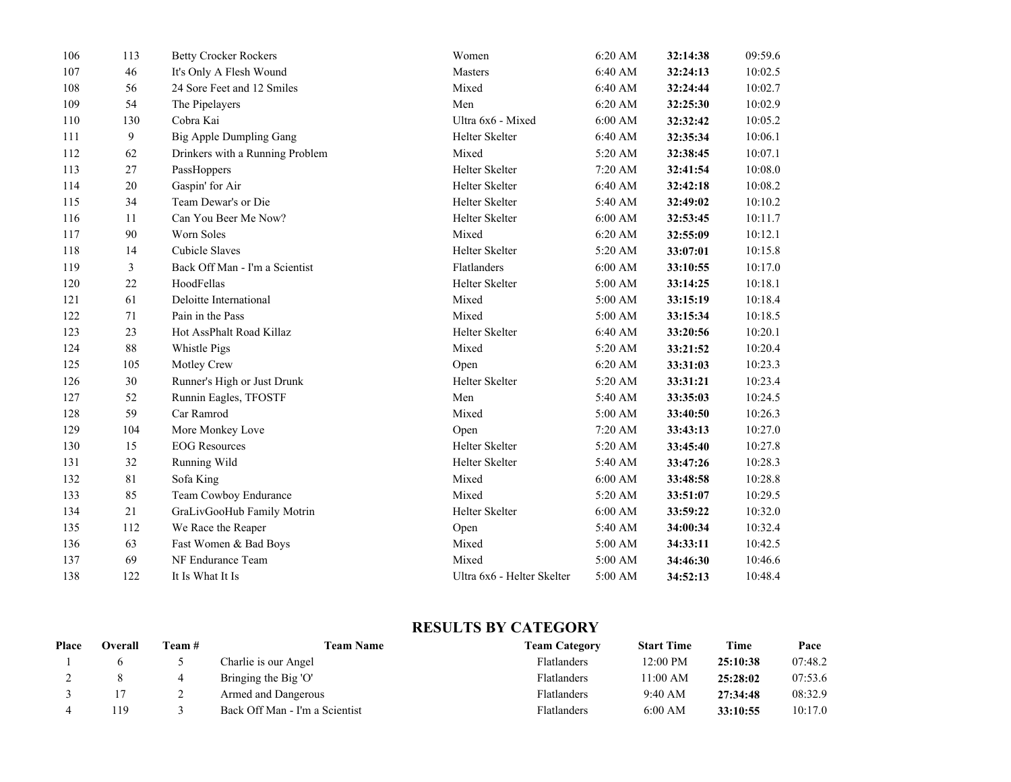| 106 | 113          | <b>Betty Crocker Rockers</b>    | Women                      | 6:20 AM            | 32:14:38 | 09:59.6 |
|-----|--------------|---------------------------------|----------------------------|--------------------|----------|---------|
| 107 | 46           | It's Only A Flesh Wound         | <b>Masters</b>             | 6:40 AM            | 32:24:13 | 10:02.5 |
| 108 | 56           | 24 Sore Feet and 12 Smiles      | Mixed                      | 6:40 AM            | 32:24:44 | 10:02.7 |
| 109 | 54           | The Pipelayers                  | Men                        | 6:20 AM            | 32:25:30 | 10:02.9 |
| 110 | 130          | Cobra Kai                       | Ultra 6x6 - Mixed          | 6:00 AM            | 32:32:42 | 10:05.2 |
| 111 | $\mathbf{9}$ | <b>Big Apple Dumpling Gang</b>  | <b>Helter Skelter</b>      | 6:40 AM            | 32:35:34 | 10:06.1 |
| 112 | 62           | Drinkers with a Running Problem | Mixed                      | 5:20 AM            | 32:38:45 | 10:07.1 |
| 113 | 27           | PassHoppers                     | Helter Skelter             | 7:20 AM            | 32:41:54 | 10:08.0 |
| 114 | 20           | Gaspin' for Air                 | Helter Skelter             | 6:40 AM            | 32:42:18 | 10:08.2 |
| 115 | 34           | Team Dewar's or Die             | Helter Skelter             | 5:40 AM            | 32:49:02 | 10:10.2 |
| 116 | 11           | Can You Beer Me Now?            | Helter Skelter             | $6:00$ AM          | 32:53:45 | 10:11.7 |
| 117 | 90           | Worn Soles                      | Mixed                      | 6:20 AM            | 32:55:09 | 10:12.1 |
| 118 | 14           | <b>Cubicle Slaves</b>           | <b>Helter Skelter</b>      | 5:20 AM            | 33:07:01 | 10:15.8 |
| 119 | 3            | Back Off Man - I'm a Scientist  | Flatlanders                | $6:00$ AM          | 33:10:55 | 10:17.0 |
| 120 | 22           | HoodFellas                      | <b>Helter Skelter</b>      | 5:00 AM            | 33:14:25 | 10:18.1 |
| 121 | 61           | Deloitte International          | Mixed                      | 5:00 AM            | 33:15:19 | 10:18.4 |
| 122 | 71           | Pain in the Pass                | Mixed                      | 5:00 AM            | 33:15:34 | 10:18.5 |
| 123 | 23           | Hot AssPhalt Road Killaz        | Helter Skelter             | 6:40 AM            | 33:20:56 | 10:20.1 |
| 124 | 88           | Whistle Pigs                    | Mixed                      | 5:20 AM            | 33:21:52 | 10:20.4 |
| 125 | 105          | Motley Crew                     | Open                       | $6:20$ AM          | 33:31:03 | 10:23.3 |
| 126 | 30           | Runner's High or Just Drunk     | Helter Skelter             | $5:20~\mathrm{AM}$ | 33:31:21 | 10:23.4 |
| 127 | 52           | Runnin Eagles, TFOSTF           | Men                        | 5:40 AM            | 33:35:03 | 10:24.5 |
| 128 | 59           | Car Ramrod                      | Mixed                      | 5:00 AM            | 33:40:50 | 10:26.3 |
| 129 | 104          | More Monkey Love                | Open                       | 7:20 AM            | 33:43:13 | 10:27.0 |
| 130 | 15           | <b>EOG</b> Resources            | Helter Skelter             | 5:20 AM            | 33:45:40 | 10:27.8 |
| 131 | 32           | Running Wild                    | Helter Skelter             | 5:40 AM            | 33:47:26 | 10:28.3 |
| 132 | 81           | Sofa King                       | Mixed                      | $6:00$ AM          | 33:48:58 | 10:28.8 |
| 133 | 85           | Team Cowboy Endurance           | Mixed                      | $5:20~\mathrm{AM}$ | 33:51:07 | 10:29.5 |
| 134 | 21           | GraLivGooHub Family Motrin      | <b>Helter Skelter</b>      | 6:00 AM            | 33:59:22 | 10:32.0 |
| 135 | 112          | We Race the Reaper              | Open                       | 5:40 AM            | 34:00:34 | 10:32.4 |
| 136 | 63           | Fast Women & Bad Boys           | Mixed                      | 5:00 AM            | 34:33:11 | 10:42.5 |
| 137 | 69           | NF Endurance Team               | Mixed                      | $5:00$ AM          | 34:46:30 | 10:46.6 |
| 138 | 122          | It Is What It Is                | Ultra 6x6 - Helter Skelter | 5:00 AM            | 34:52:13 | 10:48.4 |

## **RESULTS BY CATEGORY**

| Place | Overall | l`eam # | <b>Team Name</b>               | <b>Team Category</b> | <b>Start Time</b> | Time     | Pace    |
|-------|---------|---------|--------------------------------|----------------------|-------------------|----------|---------|
|       |         |         | Charlie is our Angel           | <b>Flatlanders</b>   | 12:00 PM          | 25:10:38 | 07:48.2 |
| ∼     |         |         | Bringing the Big 'O'           | <b>Flatlanders</b>   | 11:00 AM          | 25:28:02 | 07:53.6 |
|       |         |         | Armed and Dangerous            | Flatlanders          | 9:40 AM           | 27:34:48 | 08:32.9 |
|       | .19     |         | Back Off Man - I'm a Scientist | Flatlanders          | 6:00 AM           | 33:10:55 | 10:17.0 |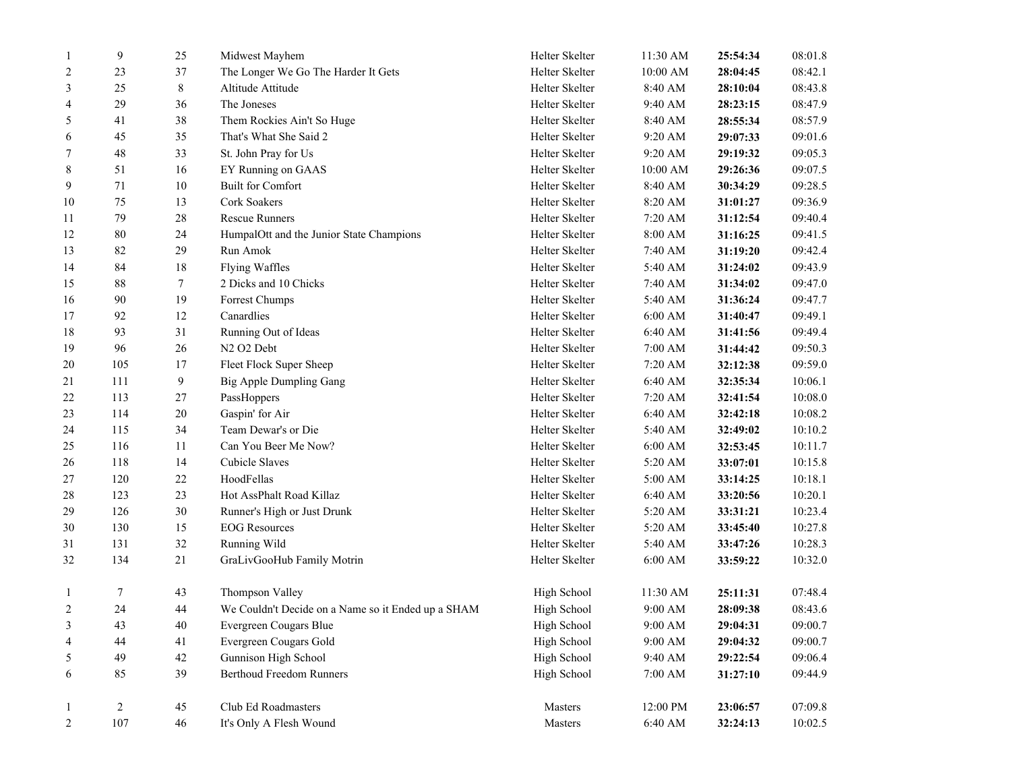| $\overline{c}$ | 107            | 46          | It's Only A Flesh Wound                                                      | Masters                    | 6:40 AM            | 32:24:13             | 10:02.5            |
|----------------|----------------|-------------|------------------------------------------------------------------------------|----------------------------|--------------------|----------------------|--------------------|
| $\mathbf{1}$   | $\overline{c}$ | $45\,$      | Club Ed Roadmasters                                                          | Masters                    | 12:00 PM           | 23:06:57             | 07:09.8            |
|                |                |             |                                                                              |                            |                    |                      |                    |
| 6              | 85             | 39          | <b>Berthoud Freedom Runners</b>                                              | High School                | $7:00~\mathrm{AM}$ | 31:27:10             | 09:44.9            |
| 5              | 49             | $42\,$      | Gunnison High School                                                         | High School                | 9:40 AM            | 29:22:54             | 09:06.4            |
| 3<br>4         | 43<br>44       | 41          | Evergreen Cougars Gold                                                       | High School                | 9:00 AM            | 29:04:31<br>29:04:32 | 09:00.7            |
| 2              |                | 40          | We Couldn't Decide on a Name so it Ended up a SHAM<br>Evergreen Cougars Blue | High School                | 9:00 AM<br>9:00 AM | 28:09:38             | 08:43.6<br>09:00.7 |
| 1              | 7<br>24        | 43<br>44    | Thompson Valley                                                              | High School<br>High School | 11:30 AM           | 25:11:31             | 07:48.4            |
|                |                |             |                                                                              |                            |                    |                      |                    |
| 32             | 134            | 21          | GraLivGooHub Family Motrin                                                   | Helter Skelter             | 6:00 AM            | 33:59:22             | 10:32.0            |
| 31             | 131            | 32          | Running Wild                                                                 | Helter Skelter             | 5:40 AM            | 33:47:26             | 10:28.3            |
| 30             | 130            | 15          | <b>EOG</b> Resources                                                         | Helter Skelter             | 5:20 AM            | 33:45:40             | 10:27.8            |
| 29             | 126            | $30\,$      | Runner's High or Just Drunk                                                  | Helter Skelter             | 5:20 AM            | 33:31:21             | 10:23.4            |
| 28             | 123            | 23          | Hot AssPhalt Road Killaz                                                     | Helter Skelter             | 6:40 AM            | 33:20:56             | 10:20.1            |
| 27             | 120            | $22\,$      | HoodFellas                                                                   | Helter Skelter             | 5:00 AM            | 33:14:25             | 10:18.1            |
| 26             | 118            | 14          | Cubicle Slaves                                                               | Helter Skelter             | 5:20 AM            | 33:07:01             | 10:15.8            |
| 25             | 116            | 11          | Can You Beer Me Now?                                                         | Helter Skelter             | 6:00 AM            | 32:53:45             | 10:11.7            |
| 24             | 115            | 34          | Team Dewar's or Die                                                          | Helter Skelter             | 5:40 AM            | 32:49:02             | 10:10.2            |
| 23             | 114            | $20\,$      | Gaspin' for Air                                                              | Helter Skelter             | 6:40 AM            | 32:42:18             | 10:08.2            |
| 22             | 113            | $27\,$      | PassHoppers                                                                  | Helter Skelter             | 7:20 AM            | 32:41:54             | 10:08.0            |
| 21             | 111            | 9           | Big Apple Dumpling Gang                                                      | Helter Skelter             | 6:40 AM            | 32:35:34             | 10:06.1            |
| 20             | 105            | 17          | Fleet Flock Super Sheep                                                      | Helter Skelter             | 7:20 AM            | 32:12:38             | 09:59.0            |
| 19             | 96             | 26          | N <sub>2</sub> O <sub>2</sub> Debt                                           | Helter Skelter             | 7:00 AM            | 31:44:42             | 09:50.3            |
| 18             | 93             | 31          | Running Out of Ideas                                                         | Helter Skelter             | 6:40 AM            | 31:41:56             | 09:49.4            |
| 17             | 92             | 12          | Canardlies                                                                   | Helter Skelter             | 6:00 AM            | 31:40:47             | 09:49.1            |
| 16             | 90             | 19          | Forrest Chumps                                                               | Helter Skelter             | 5:40 AM            | 31:36:24             | 09:47.7            |
| 15             | 88             | $\tau$      | 2 Dicks and 10 Chicks                                                        | Helter Skelter             | 7:40 AM            | 31:34:02             | 09:47.0            |
| 14             | 84             | 18          | <b>Flying Waffles</b>                                                        | Helter Skelter             | 5:40 AM            | 31:24:02             | 09:43.9            |
| 13             | 82             | 29          | Run Amok                                                                     | Helter Skelter             | 7:40 AM            | 31:19:20             | 09:42.4            |
| 12             | $80\,$         | 24          | HumpalOtt and the Junior State Champions                                     | Helter Skelter             | 8:00 AM            | 31:16:25             | 09:41.5            |
| 11             | 79             | $28\,$      | <b>Rescue Runners</b>                                                        | Helter Skelter             | 7:20 AM            | 31:12:54             | 09:40.4            |
| 10             | 75             | 13          | Cork Soakers                                                                 | Helter Skelter             | 8:20 AM            | 31:01:27             | 09:36.9            |
| 9              | 71             | 10          | <b>Built for Comfort</b>                                                     | Helter Skelter             | 8:40 AM            | 30:34:29             | 09:28.5            |
| 8              | 51             | 16          | EY Running on GAAS                                                           | Helter Skelter             | 10:00 AM           | 29:26:36             | 09:07.5            |
| 7              | 48             | 33          | St. John Pray for Us                                                         | Helter Skelter             | 9:20 AM            | 29:19:32             | 09:05.3            |
| 6              | 45             | 35          | That's What She Said 2                                                       | Helter Skelter             | 9:20 AM            | 29:07:33             | 09:01.6            |
| 5              | 41             | 38          | Them Rockies Ain't So Huge                                                   | Helter Skelter             | 8:40 AM            | 28:55:34             | 08:57.9            |
| $\overline{4}$ | 29             | 36          | The Joneses                                                                  | Helter Skelter             | 9:40 AM            | 28:23:15             | 08:47.9            |
| 3              | 25             | $\,$ 8 $\,$ | Altitude Attitude                                                            | Helter Skelter             | 8:40 AM            | 28:10:04             | 08:43.8            |
| 2              | 23             | 37          | The Longer We Go The Harder It Gets                                          | Helter Skelter             | 10:00 AM           | 28:04:45             | 08:42.1            |
| -1             | $\mathbf{9}$   | 25          | Midwest Mayhem                                                               | Helter Skelter             | 11:30 AM           | 25:54:34             | 08:01.8            |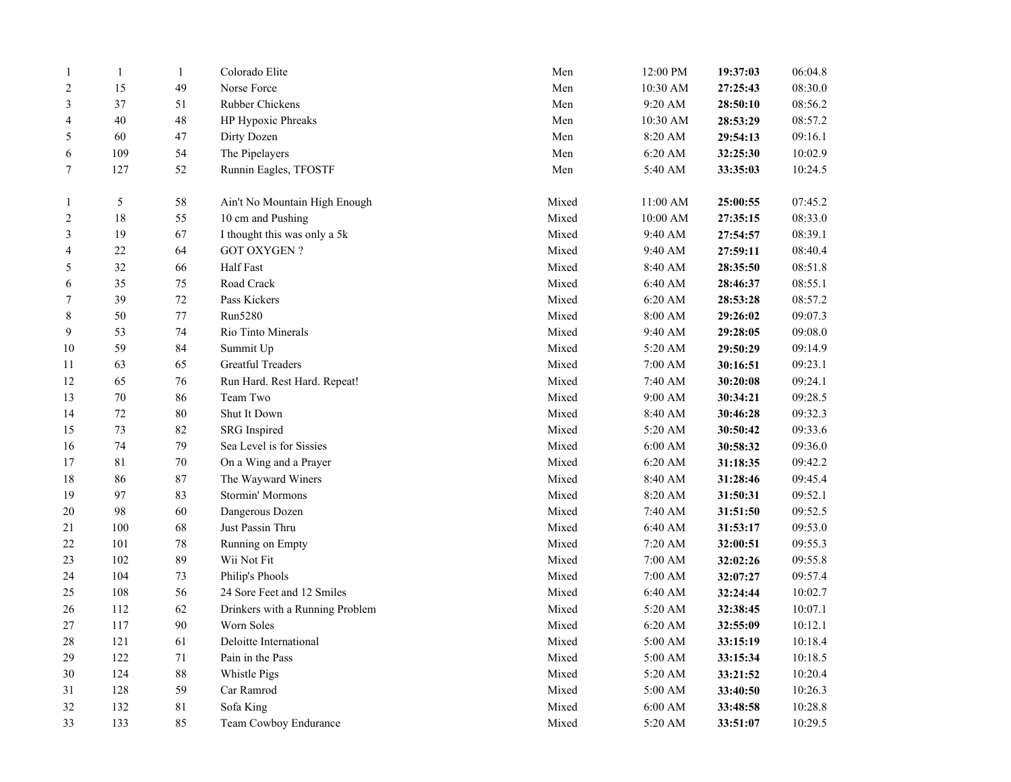| $\mathbf{1}$   | $\mathbf{1}$ | $\mathbf{1}$ | Colorado Elite                  | Men   | 12:00 PM           | 19:37:03 | 06:04.8 |
|----------------|--------------|--------------|---------------------------------|-------|--------------------|----------|---------|
| $\overline{2}$ | 15           | 49           | Norse Force                     | Men   | 10:30 AM           | 27:25:43 | 08:30.0 |
| 3              | 37           | 51           | Rubber Chickens                 | Men   | 9:20 AM            | 28:50:10 | 08:56.2 |
| 4              | $40\,$       | 48           | HP Hypoxic Phreaks              | Men   | 10:30 AM           | 28:53:29 | 08:57.2 |
| 5              | 60           | $47\,$       | Dirty Dozen                     | Men   | 8:20 AM            | 29:54:13 | 09:16.1 |
| 6              | 109          | 54           | The Pipelayers                  | Men   | 6:20 AM            | 32:25:30 | 10:02.9 |
| $\tau$         | 127          | 52           | Runnin Eagles, TFOSTF           | Men   | 5:40 AM            | 33:35:03 | 10:24.5 |
|                |              |              |                                 |       |                    |          |         |
| 1              | 5            | 58           | Ain't No Mountain High Enough   | Mixed | 11:00 AM           | 25:00:55 | 07:45.2 |
| $\sqrt{2}$     | 18           | 55           | 10 cm and Pushing               | Mixed | 10:00 AM           | 27:35:15 | 08:33.0 |
| $\mathfrak{Z}$ | 19           | 67           | I thought this was only a 5k    | Mixed | 9:40 AM            | 27:54:57 | 08:39.1 |
| $\overline{4}$ | $22\,$       | 64           | <b>GOT OXYGEN?</b>              | Mixed | 9:40 AM            | 27:59:11 | 08:40.4 |
| 5              | 32           | 66           | Half Fast                       | Mixed | 8:40 AM            | 28:35:50 | 08:51.8 |
| 6              | 35           | $75\,$       | Road Crack                      | Mixed | 6:40 AM            | 28:46:37 | 08:55.1 |
| 7              | 39           | $72\,$       | Pass Kickers                    | Mixed | 6:20 AM            | 28:53:28 | 08:57.2 |
| $\,$ 8 $\,$    | 50           | $77\,$       | Run5280                         | Mixed | 8:00 AM            | 29:26:02 | 09:07.3 |
| 9              | 53           | 74           | Rio Tinto Minerals              | Mixed | 9:40 AM            | 29:28:05 | 09:08.0 |
| 10             | 59           | 84           | Summit Up                       | Mixed | 5:20 AM            | 29:50:29 | 09:14.9 |
| 11             | 63           | 65           | <b>Greatful Treaders</b>        | Mixed | 7:00 AM            | 30:16:51 | 09:23.1 |
| 12             | 65           | 76           | Run Hard. Rest Hard. Repeat!    | Mixed | 7:40 AM            | 30:20:08 | 09:24.1 |
| 13             | $70\,$       | 86           | Team Two                        | Mixed | $9:00~\mathrm{AM}$ | 30:34:21 | 09:28.5 |
| 14             | $72\,$       | 80           | Shut It Down                    | Mixed | 8:40 AM            | 30:46:28 | 09:32.3 |
| 15             | 73           | 82           | <b>SRG</b> Inspired             | Mixed | 5:20 AM            | 30:50:42 | 09:33.6 |
| 16             | 74           | 79           | Sea Level is for Sissies        | Mixed | 6:00 AM            | 30:58:32 | 09:36.0 |
| 17             | $8\sqrt{1}$  | $70\,$       | On a Wing and a Prayer          | Mixed | $6:20$ AM          | 31:18:35 | 09:42.2 |
| 18             | 86           | 87           | The Wayward Winers              | Mixed | 8:40 AM            | 31:28:46 | 09:45.4 |
| 19             | 97           | 83           | Stormin' Mormons                | Mixed | 8:20 AM            | 31:50:31 | 09:52.1 |
| 20             | 98           | 60           | Dangerous Dozen                 | Mixed | 7:40 AM            | 31:51:50 | 09:52.5 |
| 21             | 100          | 68           | Just Passin Thru                | Mixed | 6:40 AM            | 31:53:17 | 09:53.0 |
| 22             | 101          | $78\,$       | Running on Empty                | Mixed | 7:20 AM            | 32:00:51 | 09:55.3 |
| 23             | 102          | 89           | Wii Not Fit                     | Mixed | 7:00 AM            | 32:02:26 | 09:55.8 |
| 24             | 104          | 73           | Philip's Phools                 | Mixed | 7:00 AM            | 32:07:27 | 09:57.4 |
| 25             | 108          | 56           | 24 Sore Feet and 12 Smiles      | Mixed | 6:40 AM            | 32:24:44 | 10:02.7 |
| 26             | 112          | 62           | Drinkers with a Running Problem | Mixed | 5:20 AM            | 32:38:45 | 10:07.1 |
| 27             | 117          | 90           | Worn Soles                      | Mixed | $6:20$ AM          | 32:55:09 | 10:12.1 |
| 28             | 121          | 61           | Deloitte International          | Mixed | 5:00 AM            | 33:15:19 | 10:18.4 |
| 29             | 122          | 71           | Pain in the Pass                | Mixed | 5:00 AM            | 33:15:34 | 10:18.5 |
| 30             | 124          | $88\,$       | Whistle Pigs                    | Mixed | 5:20 AM            | 33:21:52 | 10:20.4 |
| 31             | 128          | 59           | Car Ramrod                      | Mixed | 5:00 AM            | 33:40:50 | 10:26.3 |
| 32             | 132          | 81           | Sofa King                       | Mixed | $6:00$ AM          | 33:48:58 | 10:28.8 |
| 33             | 133          | 85           | Team Cowboy Endurance           | Mixed | 5:20 AM            | 33:51:07 | 10:29.5 |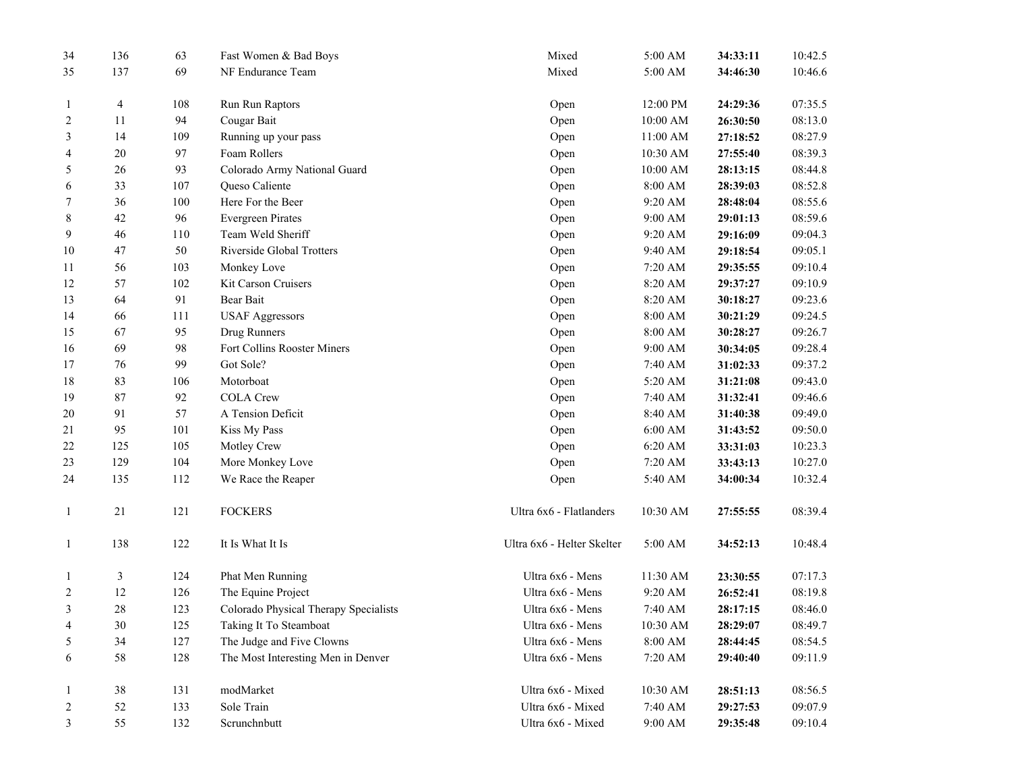| 34             | 136            | 63     | Fast Women & Bad Boys                 | Mixed                      | 5:00 AM             | 34:33:11 | 10:42.5 |
|----------------|----------------|--------|---------------------------------------|----------------------------|---------------------|----------|---------|
| 35             | 137            | 69     | NF Endurance Team                     | Mixed                      | 5:00 AM             | 34:46:30 | 10:46.6 |
| $\mathbf{1}$   | 4              | 108    | Run Run Raptors                       | Open                       | 12:00 PM            | 24:29:36 | 07:35.5 |
| $\overline{c}$ | 11             | 94     | Cougar Bait                           | Open                       | $10:00~\mathrm{AM}$ | 26:30:50 | 08:13.0 |
| 3              | 14             | 109    | Running up your pass                  | Open                       | 11:00 AM            | 27:18:52 | 08:27.9 |
| 4              | 20             | 97     | Foam Rollers                          | Open                       | 10:30 AM            | 27:55:40 | 08:39.3 |
| 5              | 26             | 93     | Colorado Army National Guard          | Open                       | 10:00 AM            | 28:13:15 | 08:44.8 |
| 6              | 33             | 107    | Queso Caliente                        | Open                       | 8:00 AM             | 28:39:03 | 08:52.8 |
| 7              | 36             | 100    | Here For the Beer                     | Open                       | 9:20 AM             | 28:48:04 | 08:55.6 |
| 8              | 42             | 96     | <b>Evergreen Pirates</b>              | Open                       | 9:00 AM             | 29:01:13 | 08:59.6 |
| 9              | 46             | 110    | Team Weld Sheriff                     | Open                       | 9:20 AM             | 29:16:09 | 09:04.3 |
| 10             | 47             | $50\,$ | Riverside Global Trotters             | Open                       | 9:40 AM             | 29:18:54 | 09:05.1 |
| 11             | 56             | 103    | Monkey Love                           | Open                       | 7:20 AM             | 29:35:55 | 09:10.4 |
| 12             | 57             | 102    | Kit Carson Cruisers                   | Open                       | 8:20 AM             | 29:37:27 | 09:10.9 |
| 13             | 64             | 91     | Bear Bait                             | Open                       | 8:20 AM             | 30:18:27 | 09:23.6 |
| 14             | 66             | 111    | <b>USAF Aggressors</b>                | Open                       | 8:00 AM             | 30:21:29 | 09:24.5 |
| 15             | 67             | 95     | Drug Runners                          | Open                       | 8:00 AM             | 30:28:27 | 09:26.7 |
| 16             | 69             | 98     | Fort Collins Rooster Miners           | Open                       | 9:00 AM             | 30:34:05 | 09:28.4 |
| 17             | 76             | 99     | Got Sole?                             | Open                       | 7:40 AM             | 31:02:33 | 09:37.2 |
| 18             | 83             | 106    | Motorboat                             | Open                       | 5:20 AM             | 31:21:08 | 09:43.0 |
| 19             | 87             | 92     | <b>COLA Crew</b>                      | Open                       | 7:40 AM             | 31:32:41 | 09:46.6 |
| 20             | 91             | 57     | A Tension Deficit                     | Open                       | 8:40 AM             | 31:40:38 | 09:49.0 |
| 21             | 95             | 101    | Kiss My Pass                          | Open                       | 6:00 AM             | 31:43:52 | 09:50.0 |
| 22             | 125            | 105    | Motley Crew                           | Open                       | 6:20 AM             | 33:31:03 | 10:23.3 |
| 23             | 129            | 104    | More Monkey Love                      | Open                       | 7:20 AM             | 33:43:13 | 10:27.0 |
| 24             | 135            | 112    | We Race the Reaper                    | Open                       | 5:40 AM             | 34:00:34 | 10:32.4 |
| $\mathbf{1}$   | 21             | 121    | <b>FOCKERS</b>                        | Ultra 6x6 - Flatlanders    | 10:30 AM            | 27:55:55 | 08:39.4 |
| $\mathbf{1}$   | 138            | 122    | It Is What It Is                      | Ultra 6x6 - Helter Skelter | 5:00 AM             | 34:52:13 | 10:48.4 |
| $\mathbf{1}$   | $\mathfrak{Z}$ | 124    | Phat Men Running                      | Ultra 6x6 - Mens           | 11:30 AM            | 23:30:55 | 07:17.3 |
| 2              | 12             | 126    | The Equine Project                    | Ultra 6x6 - Mens           | 9:20 AM             | 26:52:41 | 08:19.8 |
| 3              | $28\,$         | 123    | Colorado Physical Therapy Specialists | Ultra 6x6 - Mens           | 7:40 AM             | 28:17:15 | 08:46.0 |
| 4              | $30\,$         | 125    | Taking It To Steamboat                | Ultra 6x6 - Mens           | 10:30 AM            | 28:29:07 | 08:49.7 |
| 5              | 34             | 127    | The Judge and Five Clowns             | Ultra 6x6 - Mens           | $8:00~\mathrm{AM}$  | 28:44:45 | 08:54.5 |
| 6              | 58             | 128    | The Most Interesting Men in Denver    | Ultra 6x6 - Mens           | 7:20 AM             | 29:40:40 | 09:11.9 |
| $\mathbf{1}$   | $38\,$         | 131    | modMarket                             | Ultra 6x6 - Mixed          | 10:30 AM            | 28:51:13 | 08:56.5 |
| 2              | 52             | 133    | Sole Train                            | Ultra 6x6 - Mixed          | 7:40 AM             | 29:27:53 | 09:07.9 |
| 3              | 55             | 132    | Scrunchnbutt                          | Ultra 6x6 - Mixed          | 9:00 AM             | 29:35:48 | 09:10.4 |